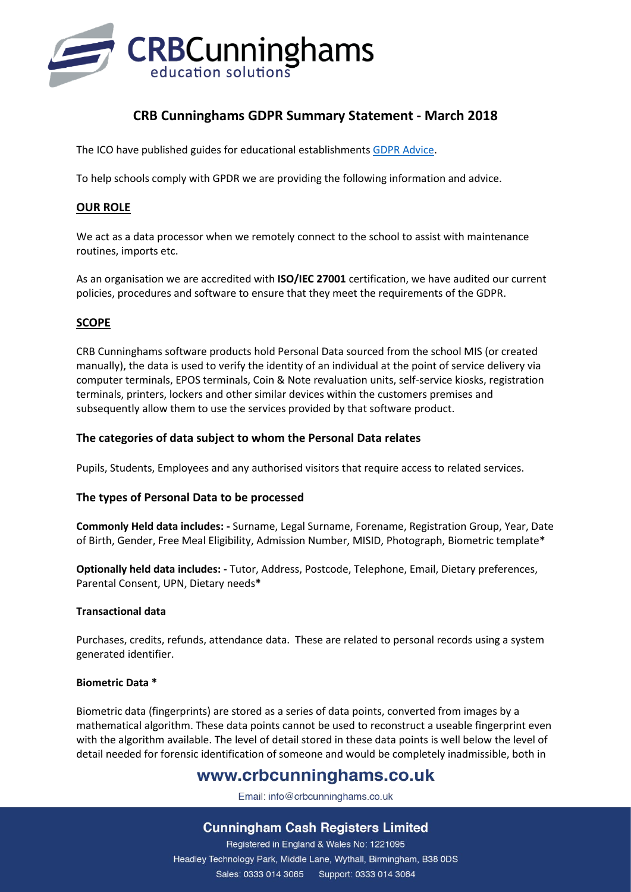

# **CRB Cunninghams GDPR Summary Statement - March 2018**

The ICO have published guides for educational establishments [GDPR Advice.](https://ico.org.uk/for-organisations/education/)

To help schools comply with GPDR we are providing the following information and advice.

## **OUR ROLE**

We act as a data processor when we remotely connect to the school to assist with maintenance routines, imports etc.

As an organisation we are accredited with **ISO/IEC 27001** certification, we have audited our current policies, procedures and software to ensure that they meet the requirements of the GDPR.

## **SCOPE**

CRB Cunninghams software products hold Personal Data sourced from the school MIS (or created manually), the data is used to verify the identity of an individual at the point of service delivery via computer terminals, EPOS terminals, Coin & Note revaluation units, self-service kiosks, registration terminals, printers, lockers and other similar devices within the customers premises and subsequently allow them to use the services provided by that software product.

### **The categories of data subject to whom the Personal Data relates**

Pupils, Students, Employees and any authorised visitors that require access to related services.

### **The types of Personal Data to be processed**

**Commonly Held data includes: -** Surname, Legal Surname, Forename, Registration Group, Year, Date of Birth, Gender, Free Meal Eligibility, Admission Number, MISID, Photograph, Biometric template**\***

**Optionally held data includes: -** Tutor, Address, Postcode, Telephone, Email, Dietary preferences, Parental Consent, UPN, Dietary needs**\***

### **Transactional data**

Purchases, credits, refunds, attendance data. These are related to personal records using a system generated identifier.

### **Biometric Data \***

Biometric data (fingerprints) are stored as a series of data points, converted from images by a mathematical algorithm. These data points cannot be used to reconstruct a useable fingerprint even with the algorithm available. The level of detail stored in these data points is well below the level of detail needed for forensic identification of someone and would be completely inadmissible, both in

# www.crbcunninghams.co.uk

Email: info@crbcunninghams.co.uk

## **Cunningham Cash Registers Limited**

Registered in England & Wales No: 1221095 Headley Technology Park, Middle Lane, Wythall, Birmingham, B38 0DS Sales: 0333 014 3065 Support: 0333 014 3064